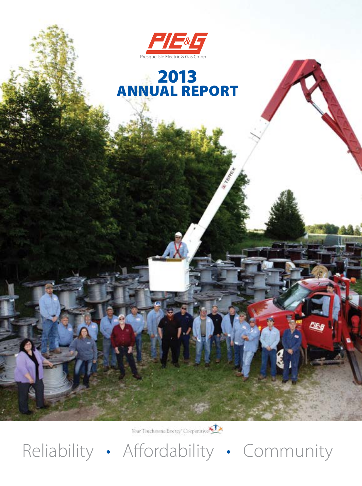

## 2013 ANNUAL REPORT

Your Touchstone Energy Cooperation

Reliability • Affordability • Community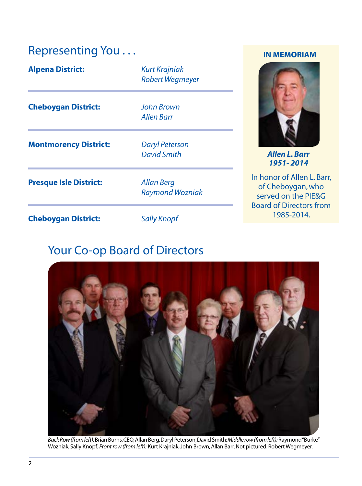### Representing You . . . **IN MEMORIAM**

| <b>Alpena District:</b>       | <b>Kurt Krajniak</b><br><b>Robert Wegmeyer</b> |   |
|-------------------------------|------------------------------------------------|---|
| <b>Cheboygan District:</b>    | <b>John Brown</b><br><b>Allen Barr</b>         |   |
| <b>Montmorency District:</b>  | <b>Daryl Peterson</b><br><b>David Smith</b>    |   |
| <b>Presque Isle District:</b> | <b>Allan Berg</b><br><b>Raymond Wozniak</b>    |   |
| <b>Cheboygan District:</b>    | <b>Sally Knopf</b>                             | E |

### Your Co-op Board of Directors



*Back Row (from left):* Brian Burns, CEO,Allan Berg, Daryl Peterson, David Smith;*Middle row (from left):* Raymond "Burke" Wozniak, Sally Knopf; *Front row (from left):* Kurt Krajniak, John Brown, Allan Barr. Not pictured: Robert Wegmeyer.



*David Smith Allen L. Barr 1951- 2014* 

In honor of Allen L. Barr, of Cheboygan, who served on the PIE&G Board of Directors from 1985-2014.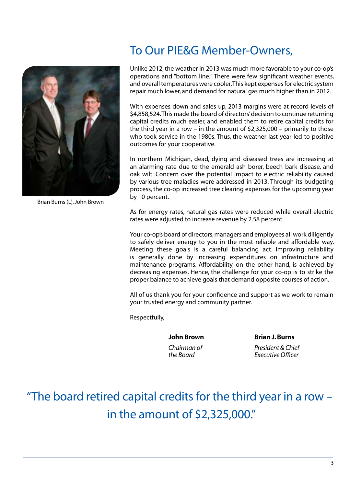

Brian Burns (L), John Brown

### To Our PIE&G Member-Owners,

Unlike 2012, the weather in 2013 was much more favorable to your co-op's operations and "bottom line." There were few signifcant weather events, and overall temperatures were cooler.This kept expenses for electric system repair much lower, and demand for natural gas much higher than in 2012.

With expenses down and sales up, 2013 margins were at record levels of \$4,858,524.This made the board of directors' decision to continue returning capital credits much easier, and enabled them to retire capital credits for the third year in a row – in the amount of \$2,325,000 – primarily to those who took service in the 1980s. Thus, the weather last year led to positive outcomes for your cooperative.

In northern Michigan, dead, dying and diseased trees are increasing at an alarming rate due to the emerald ash borer, beech bark disease, and oak wilt. Concern over the potential impact to electric reliability caused by various tree maladies were addressed in 2013. Through its budgeting process, the co-op increased tree clearing expenses for the upcoming year by 10 percent.

As for energy rates, natural gas rates were reduced while overall electric rates were adjusted to increase revenue by 2.58 percent.

Your co-op's board of directors, managers and employees all work diligently to safely deliver energy to you in the most reliable and affordable way. Meeting these goals is a careful balancing act. Improving reliability is generally done by increasing expenditures on infrastructure and maintenance programs. Affordability, on the other hand, is achieved by decreasing expenses. Hence, the challenge for your co-op is to strike the proper balance to achieve goals that demand opposite courses of action.

All of us thank you for your confdence and support as we work to remain your trusted energy and community partner.

Respectfully,

 **John Brown Brian J. Burns**

 *Chairman of President & Chief the Board Executive Offcer* 

"The board retired capital credits for the third year in a row – in the amount of \$2,325,000."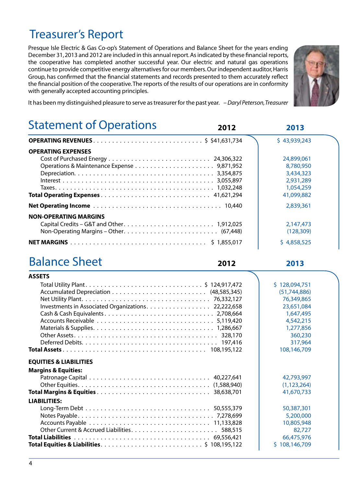### Treasurer's Report

 with generally accepted accounting principles. Presque Isle Electric & Gas Co-op's Statement of Operations and Balance Sheet for the years ending December 31, 2013 and 2012 are included in this annual report.As indicated by these fnancial reports, the cooperative has completed another successful year. Our electric and natural gas operations continue to provide competitive energy alternatives for our members.Our independent auditor,Harris Group, has confrmed that the fnancial statements and records presented to them accurately refect the fnancial position of the cooperative.The reports of the results of our operations are in conformity



It has been my distinguished pleasure to serve as treasurer for the past year. *– Daryl Peterson,Treasurer* 

#### j Statement of Operations

|                              | \$43,939,243 |
|------------------------------|--------------|
| <b>OPERATING EXPENSES</b>    |              |
|                              | 24,899,061   |
|                              | 8,780,950    |
|                              | 3.434,323    |
|                              | 2,931,289    |
|                              | 1.054.259    |
|                              | 41,099,882   |
|                              | 2,839,361    |
| <b>NON-OPERATING MARGINS</b> |              |
|                              | 2,147,473    |
|                              | (128.309)    |
|                              | \$4,858,525  |
|                              |              |

### Balance Sheet **2012**

**2012 2013** 

**2013** 

| <b>ASSETS</b>                                       |                |
|-----------------------------------------------------|----------------|
|                                                     | \$128,094,751  |
|                                                     | (51, 744, 886) |
|                                                     | 76,349,865     |
| Investments in Associated Organizations. 22,222,658 | 23,651,084     |
|                                                     | 1,647,495      |
|                                                     | 4,542,215      |
|                                                     | 1,277,856      |
|                                                     | 360,230        |
|                                                     | 317,964        |
|                                                     | 108,146,709    |
| <b>EQUITIES &amp; LIABILITIES</b>                   |                |
| <b>Margins &amp; Equities:</b>                      |                |
|                                                     | 42,793,997     |
|                                                     | (1, 123, 264)  |
|                                                     | 41,670,733     |
| <b>LIABILITIES:</b>                                 |                |
|                                                     | 50,387,301     |
|                                                     | 5,200,000      |
|                                                     | 10,805,948     |
|                                                     | 82,727         |
|                                                     | 66,475,976     |
|                                                     | \$108,146,709  |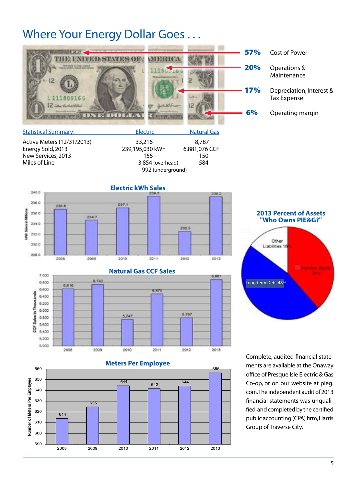### Where Your Energy Dollar Goes . . .

|                            |                                |         | <b>57%</b> | Cost of Power                                  |
|----------------------------|--------------------------------|---------|------------|------------------------------------------------|
| 12                         | <b>Americans</b> resume 704 KT |         | 20%        | Operations &<br>Maintenance                    |
|                            |                                |         | <b>17%</b> | Depreciation, Interest &<br><b>Tax Expense</b> |
| <b>DAYS</b>                |                                |         | 6%         | Operating margin                               |
| Capability of Construction | المستقطع والتناقب              | $N = 1$ |            |                                                |

| <b>Statistical Summary:</b> | Electric          | <b>Natural Gas</b> |
|-----------------------------|-------------------|--------------------|
| Active Meters (12/31/2013)  | 33,216            | 8.787              |
| Energy Sold, 2013           | 239,195,030 kWh   | 6,881,076 CCF      |
| New Services, 2013          | 155               | 150                |
| Miles of Line               | 3,854 (overhead)  | 584                |
|                             | 992 (underground) |                    |









fied, and completed by the certified Complete, audited fnancial statements are available at the Onaway offce of Presque Isle Electric & Gas Co-op, or on our website at pieg. com.The independent audit of 2013 fnancial statements was unqualipublic accounting (CPA) frm, Harris Group of Traverse City.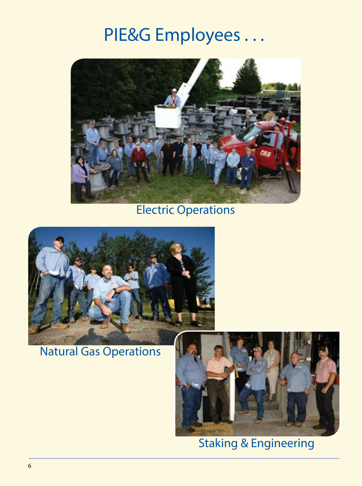## PIE&G Employees . . .



## Electric Operations



## Natural Gas Operations



Staking & Engineering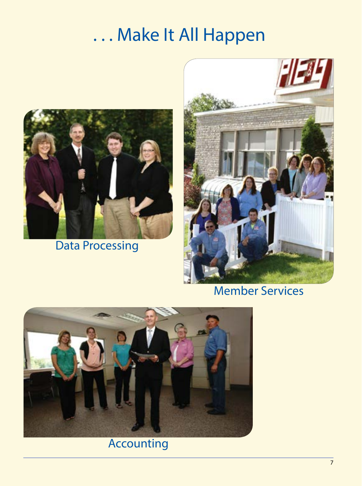# . . . Make It All Happen



Data Processing



## Member Services



## Accounting